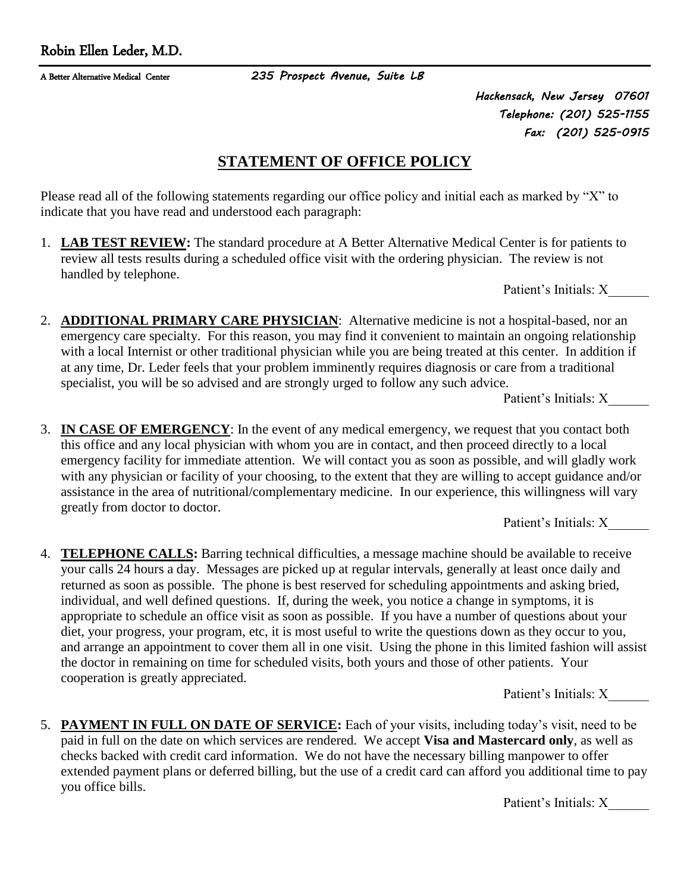A Better Alternative Medical Center *235 Prospect Avenue, Suite LB*

*Hackensack, New Jersey 07601 Telephone: (201) 525-1155 Fax: (201) 525-0915* 

## **STATEMENT OF OFFICE POLICY**

Please read all of the following statements regarding our office policy and initial each as marked by "X" to indicate that you have read and understood each paragraph:

1. **LAB TEST REVIEW:** The standard procedure at A Better Alternative Medical Center is for patients to review all tests results during a scheduled office visit with the ordering physician. The review is not handled by telephone.

Patient's Initials: X

2. **ADDITIONAL PRIMARY CARE PHYSICIAN**: Alternative medicine is not a hospital-based, nor an emergency care specialty. For this reason, you may find it convenient to maintain an ongoing relationship with a local Internist or other traditional physician while you are being treated at this center. In addition if at any time, Dr. Leder feels that your problem imminently requires diagnosis or care from a traditional specialist, you will be so advised and are strongly urged to follow any such advice.

Patient's Initials: X\_\_\_\_\_\_

3. **IN CASE OF EMERGENCY**: In the event of any medical emergency, we request that you contact both this office and any local physician with whom you are in contact, and then proceed directly to a local emergency facility for immediate attention. We will contact you as soon as possible, and will gladly work with any physician or facility of your choosing, to the extent that they are willing to accept guidance and/or assistance in the area of nutritional/complementary medicine. In our experience, this willingness will vary greatly from doctor to doctor.

Patient's Initials: X\_\_\_\_\_\_

4. **TELEPHONE CALLS:** Barring technical difficulties, a message machine should be available to receive your calls 24 hours a day. Messages are picked up at regular intervals, generally at least once daily and returned as soon as possible. The phone is best reserved for scheduling appointments and asking bried, individual, and well defined questions. If, during the week, you notice a change in symptoms, it is appropriate to schedule an office visit as soon as possible. If you have a number of questions about your diet, your progress, your program, etc, it is most useful to write the questions down as they occur to you, and arrange an appointment to cover them all in one visit. Using the phone in this limited fashion will assist the doctor in remaining on time for scheduled visits, both yours and those of other patients. Your cooperation is greatly appreciated.

Patient's Initials: X\_\_\_\_\_\_

5. **PAYMENT IN FULL ON DATE OF SERVICE:** Each of your visits, including today's visit, need to be paid in full on the date on which services are rendered. We accept **Visa and Mastercard only**, as well as checks backed with credit card information. We do not have the necessary billing manpower to offer extended payment plans or deferred billing, but the use of a credit card can afford you additional time to pay you office bills.

Patient's Initials: X\_\_\_\_\_\_